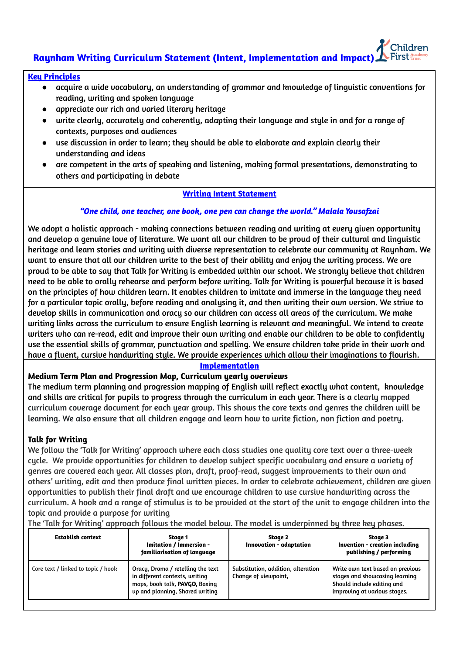# **Raynham Writing Curriculum Statement (Intent, Implementation and Impact)**

### **Key Principles**

- acquire a wide vocabulary, an understanding of grammar and knowledge of linguistic conventions for reading, writing and spoken language
- appreciate our rich and varied literary heritage
- write clearly, accurately and coherently, adapting their language and style in and for a range of contexts, purposes and audiences
- use discussion in order to learn; they should be able to elaborate and explain clearly their understanding and ideas
- are competent in the arts of speaking and listening, making formal presentations, demonstrating to others and participating in debate

### **Writing Intent Statement**

### *"One child, one teacher, one book, one pen can change the world." Malala Yousafzai*

We adopt a holistic approach - making connections between reading and writing at every given opportunity and develop a genuine love of literature. We want all our children to be proud of their cultural and linguistic heritage and learn stories and writing with diverse representation to celebrate our community at Raynham. We want to ensure that all our children write to the best of their ability and enjoy the writing process. We are proud to be able to say that Talk for Writing is embedded within our school. We strongly believe that children need to be able to orally rehearse and perform before writing. Talk for Writing is powerful because it is based on the principles of how children learn. It enables children to imitate and immerse in the language they need for a particular topic orally, before reading and analysing it, and then writing their own version. We strive to develop skills in communication and oracy so our children can access all areas of the curriculum. We make writing links across the curriculum to ensure English learning is relevant and meaningful. We intend to create writers who can re-read, edit and improve their own writing and enable our children to be able to confidently use the essential skills of grammar, punctuation and spelling. We ensure children take pride in their work and have a fluent, cursive handwriting style. We provide experiences which allow their imaginations to flourish.

#### **Implementation**

#### **Medium Term Plan and Progression Map, Curriculum yearly overviews**

The medium term planning and progression mapping of English will reflect exactly what content, knowledge and skills are critical for pupils to progress through the curriculum in each year. There is a clearly mapped curriculum coverage document for each year group. This shows the core texts and genres the children will be learning. We also ensure that all children engage and learn how to write fiction, non fiction and poetry.

### **Talk for Writing**

We follow the 'Talk for Writing' approach where each class studies one quality core text over a three-week cycle. We provide opportunities for children to develop subject specific vocabulary and ensure a variety of genres are covered each year. All classes plan, draft, proof-read, suggest improvements to their own and others' writing, edit and then produce final written pieces. In order to celebrate achievement, children are given opportunities to publish their final draft and we encourage children to use cursive handwriting across the curriculum. A hook and a range of stimulus is to be provided at the start of the unit to engage children into the topic and provide a purpose for writing

| <b>Establish context</b>           | Staae 1<br>Imitation / Immersion -<br>familiarisation of language                                                                        | Stage 2<br>Innovation - adaptation                         | Stage 3<br>Invention - creation including<br>publishing / performing                                                             |
|------------------------------------|------------------------------------------------------------------------------------------------------------------------------------------|------------------------------------------------------------|----------------------------------------------------------------------------------------------------------------------------------|
| Core text / linked to topic / hook | Oracy, Drama / retelling the text<br>in different contexts, writing<br>maps, book talk, PAVGO, Boxing<br>up and planning, Shared writing | Substitution, addition, alteration<br>Change of viewpoint, | Write own text based on previous<br>stages and showcasing learning<br>Should include editing and<br>improving at various stages. |

The 'Talk for Writing' approach follows the model below. The model is underpinned by three key phases.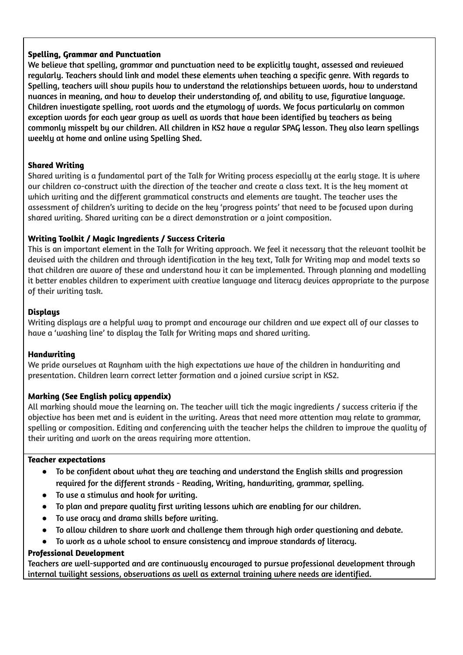### **Spelling, Grammar and Punctuation**

We believe that spelling, grammar and punctuation need to be explicitly taught, assessed and reviewed regularly. Teachers should link and model these elements when teaching a specific genre. With regards to Spelling, teachers will show pupils how to understand the relationships between words, how to understand nuances in meaning, and how to develop their understanding of, and ability to use, figurative language. Children investigate spelling, root words and the etymology of words. We focus particularly on common exception words for each year group as well as words that have been identified by teachers as being commonly misspelt by our children. All children in KS2 have a regular SPAG lesson. They also learn spellings weekly at home and online using Spelling Shed.

### **Shared Writing**

Shared writing is a fundamental part of the Talk for Writing process especially at the early stage. It is where our children co-construct with the direction of the teacher and create a class text. It is the key moment at which writing and the different grammatical constructs and elements are taught. The teacher uses the assessment of children's writing to decide on the key 'progress points' that need to be focused upon during shared writing. Shared writing can be a direct demonstration or a joint composition.

# **Writing Toolkit / Magic Ingredients / Success Criteria**

This is an important element in the Talk for Writing approach. We feel it necessary that the relevant toolkit be devised with the children and through identification in the key text, Talk for Writing map and model texts so that children are aware of these and understand how it can be implemented. Through planning and modelling it better enables children to experiment with creative language and literacy devices appropriate to the purpose of their writing task.

### **Displays**

Writing displays are a helpful way to prompt and encourage our children and we expect all of our classes to have a 'washing line' to display the Talk for Writing maps and shared writing.

### **Handwriting**

We pride ourselves at Raynham with the high expectations we have of the children in handwriting and presentation. Children learn correct letter formation and a joined cursive script in KS2.

# **Marking (See English policy appendix)**

All marking should move the learning on. The teacher will tick the magic ingredients / success criteria if the objective has been met and is evident in the writing. Areas that need more attention may relate to grammar, spelling or composition. Editing and conferencing with the teacher helps the children to improve the quality of their writing and work on the areas requiring more attention.

### **Teacher expectations**

- To be confident about what they are teaching and understand the English skills and progression required for the different strands - Reading, Writing, handwriting, grammar, spelling.
- To use a stimulus and hook for writing.
- To plan and prepare quality first writing lessons which are enabling for our children.
- To use oracy and drama skills before writing.
- To allow children to share work and challenge them through high order questioning and debate.
- To work as a whole school to ensure consistency and improve standards of literacy.

### **Professional Development**

Teachers are well-supported and are continuously encouraged to pursue professional development through internal twilight sessions, observations as well as external training where needs are identified.